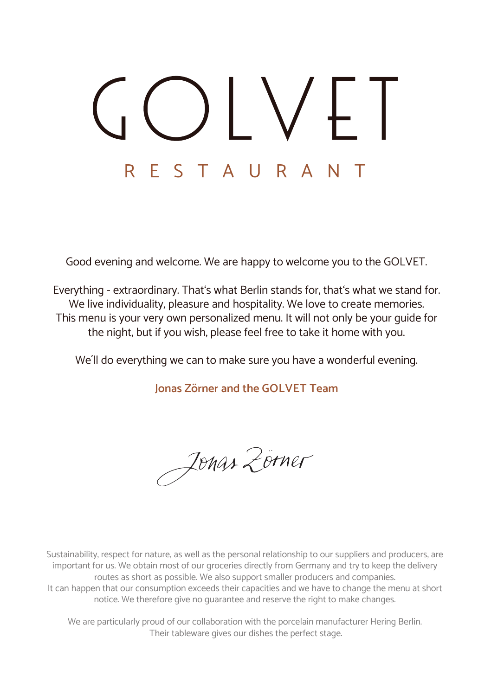# F STAURA  $\mathsf{R}$

Good evening and welcome. We are happy to welcome you to the GOLVET.

Everything - extraordinary. That's what Berlin stands for, that's what we stand for. We live individuality, pleasure and hospitality. We love to create memories. This menu is your very own personalized menu. It will not only be your guide for the night, but if you wish, please feel free to take it home with you.

We´ll do everything we can to make sure you have a wonderful evening.

**Jonas Zörner and the GOLVET Team**

Jonas Zorner

Sustainability, respect for nature, as well as the personal relationship to our suppliers and producers, are important for us. We obtain most of our groceries directly from Germany and try to keep the delivery routes as short as possible. We also support smaller producers and companies. It can happen that our consumption exceeds their capacities and we have to change the menu at short notice. We therefore give no guarantee and reserve the right to make changes.

We are particularly proud of our collaboration with the porcelain manufacturer Hering Berlin. Their tableware gives our dishes the perfect stage.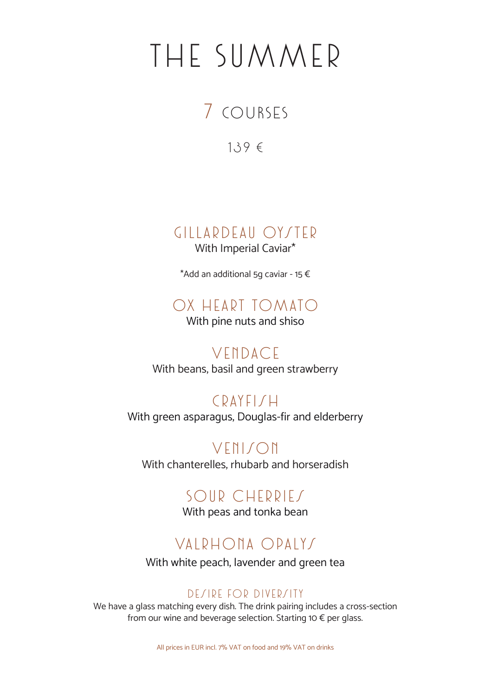# THE SUMMER

## 7 COURSES

139 €

Gillardeau Oyster

With Imperial Caviar\*

\*Add an additional 5g caviar - 15 €

### Ox heart tomato

With pine nuts and shiso

Vendace With beans, basil and green strawberry

 $CDAYFI/H$ With green asparagus, Douglas-fir and elderberry

VENISON With chanterelles, rhubarb and horseradish

### SOUR CHERRIES

With peas and tonka bean

### Valrhona Opalys

With white peach, lavender and green tea

#### DESIRE FOR DIVERSITY

We have a glass matching every dish. The drink pairing includes a cross-section from our wine and beverage selection. Starting 10 € per glass.

All prices in EUR incl. 7% VAT on food and 19% VAT on drinks